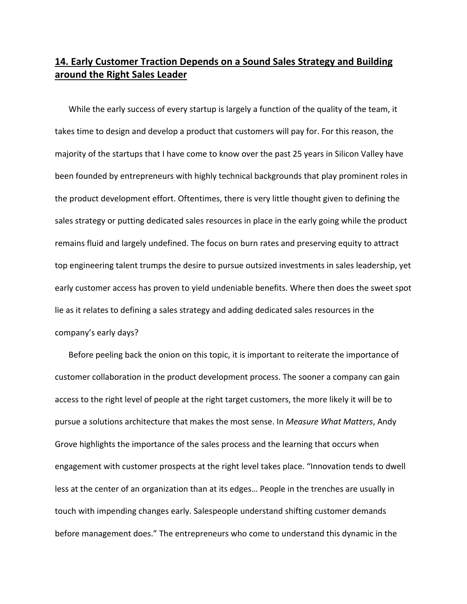## **14. Early Customer Traction Depends on a Sound Sales Strategy and Building around the Right Sales Leader**

While the early success of every startup is largely a function of the quality of the team, it takes time to design and develop a product that customers will pay for. For this reason, the majority of the startups that I have come to know over the past 25 years in Silicon Valley have been founded by entrepreneurs with highly technical backgrounds that play prominent roles in the product development effort. Oftentimes, there is very little thought given to defining the sales strategy or putting dedicated sales resources in place in the early going while the product remains fluid and largely undefined. The focus on burn rates and preserving equity to attract top engineering talent trumps the desire to pursue outsized investments in sales leadership, yet early customer access has proven to yield undeniable benefits. Where then does the sweet spot lie as it relates to defining a sales strategy and adding dedicated sales resources in the company's early days?

Before peeling back the onion on this topic, it is important to reiterate the importance of customer collaboration in the product development process. The sooner a company can gain access to the right level of people at the right target customers, the more likely it will be to pursue a solutions architecture that makes the most sense. In *Measure What Matters*, Andy Grove highlights the importance of the sales process and the learning that occurs when engagement with customer prospects at the right level takes place. "Innovation tends to dwell less at the center of an organization than at its edges… People in the trenches are usually in touch with impending changes early. Salespeople understand shifting customer demands before management does." The entrepreneurs who come to understand this dynamic in the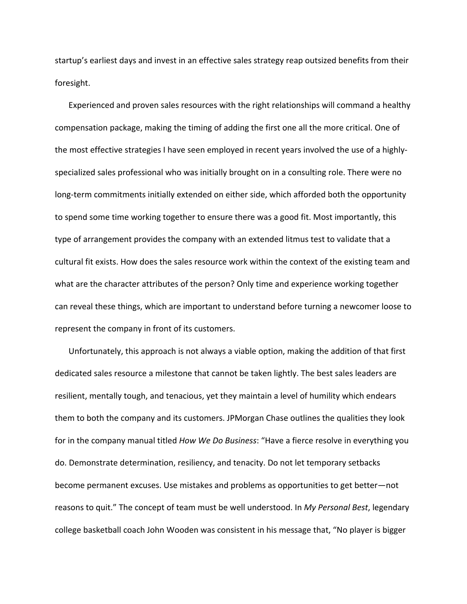startup's earliest days and invest in an effective sales strategy reap outsized benefits from their foresight.

Experienced and proven sales resources with the right relationships will command a healthy compensation package, making the timing of adding the first one all the more critical. One of the most effective strategies I have seen employed in recent years involved the use of a highly‐ specialized sales professional who was initially brought on in a consulting role. There were no long-term commitments initially extended on either side, which afforded both the opportunity to spend some time working together to ensure there was a good fit. Most importantly, this type of arrangement provides the company with an extended litmus test to validate that a cultural fit exists. How does the sales resource work within the context of the existing team and what are the character attributes of the person? Only time and experience working together can reveal these things, which are important to understand before turning a newcomer loose to represent the company in front of its customers.

Unfortunately, this approach is not always a viable option, making the addition of that first dedicated sales resource a milestone that cannot be taken lightly. The best sales leaders are resilient, mentally tough, and tenacious, yet they maintain a level of humility which endears them to both the company and its customers. JPMorgan Chase outlines the qualities they look for in the company manual titled *How We Do Business*: "Have a fierce resolve in everything you do. Demonstrate determination, resiliency, and tenacity. Do not let temporary setbacks become permanent excuses. Use mistakes and problems as opportunities to get better—not reasons to quit." The concept of team must be well understood. In *My Personal Best*, legendary college basketball coach John Wooden was consistent in his message that, "No player is bigger